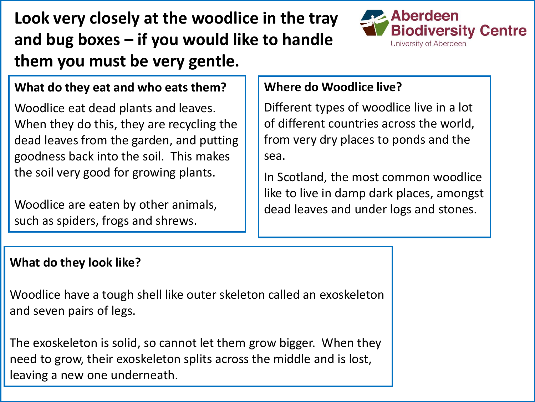**Look very closely at the woodlice in the tray and bug boxes – if you would like to handle them you must be very gentle.** 



### **What do they eat and who eats them?**

Woodlice eat dead plants and leaves. When they do this, they are recycling the dead leaves from the garden, and putting goodness back into the soil. This makes the soil very good for growing plants.

Woodlice are eaten by other animals, such as spiders, frogs and shrews.

#### **Where do Woodlice live?**

Different types of woodlice live in a lot of different countries across the world, from very dry places to ponds and the sea.

In Scotland, the most common woodlice like to live in damp dark places, amongst dead leaves and under logs and stones.

#### **What do they look like?**

Woodlice have a tough shell like outer skeleton called an exoskeleton and seven pairs of legs.

The exoskeleton is solid, so cannot let them grow bigger. When they need to grow, their exoskeleton splits across the middle and is lost, leaving a new one underneath.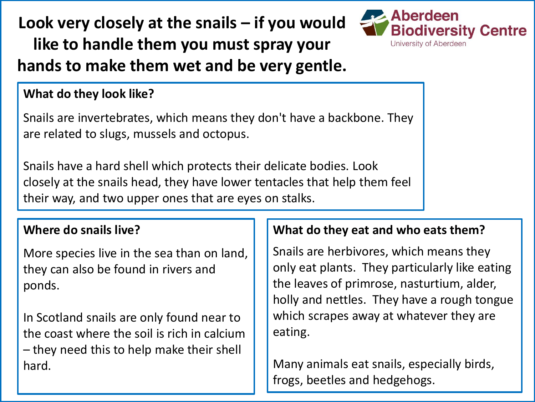**Look very closely at the snails – if you would like to handle them you must spray your hands to make them wet and be very gentle.** 



#### **What do they look like?**

Snails are invertebrates, which means they don't have a backbone. They are related to slugs, mussels and octopus.

Snails have a hard shell which protects their delicate bodies. Look closely at the snails head, they have lower tentacles that help them feel their way, and two upper ones that are eyes on stalks.

#### **Where do snails live?**

More species live in the sea than on land, they can also be found in rivers and ponds.

In Scotland snails are only found near to the coast where the soil is rich in calcium – they need this to help make their shell hard.

### **What do they eat and who eats them?**

Snails are herbivores, which means they only eat plants. They particularly like eating the leaves of primrose, nasturtium, alder, holly and nettles. They have a rough tongue which scrapes away at whatever they are eating.

Many animals eat snails, especially birds, frogs, beetles and hedgehogs.